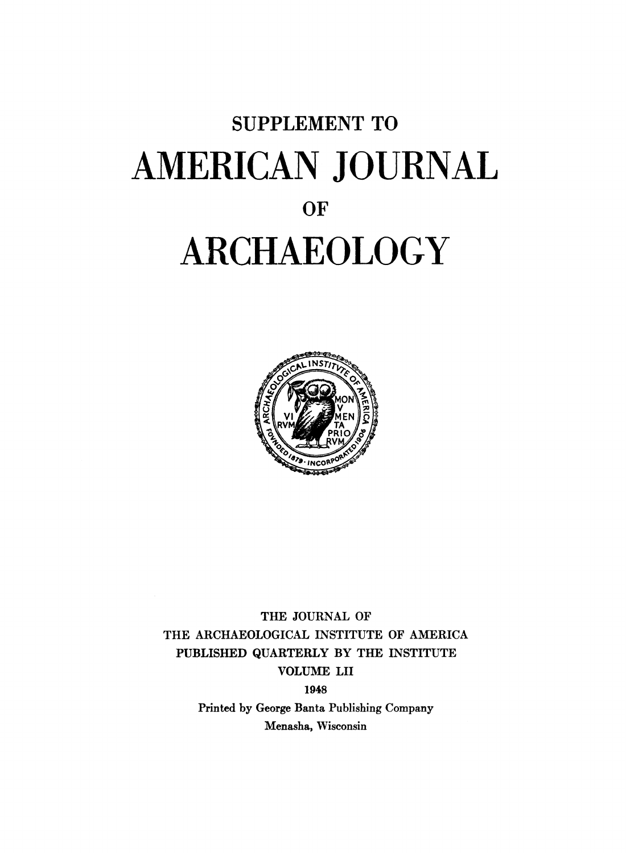# **SUPPLEMENT TO AMERICAN JOURNAL OF ARCHAEOLOGY**



**THE JOURNAL OF THE ARCHAEOLOGICAL INSTITUTE OF AMERICA PUBLISHED QUARTERLY BY THE INSTITUTE VOLUME LII** 

**1948** 

**Printed by George Banta Publishing Company Menasha, Wisconsin**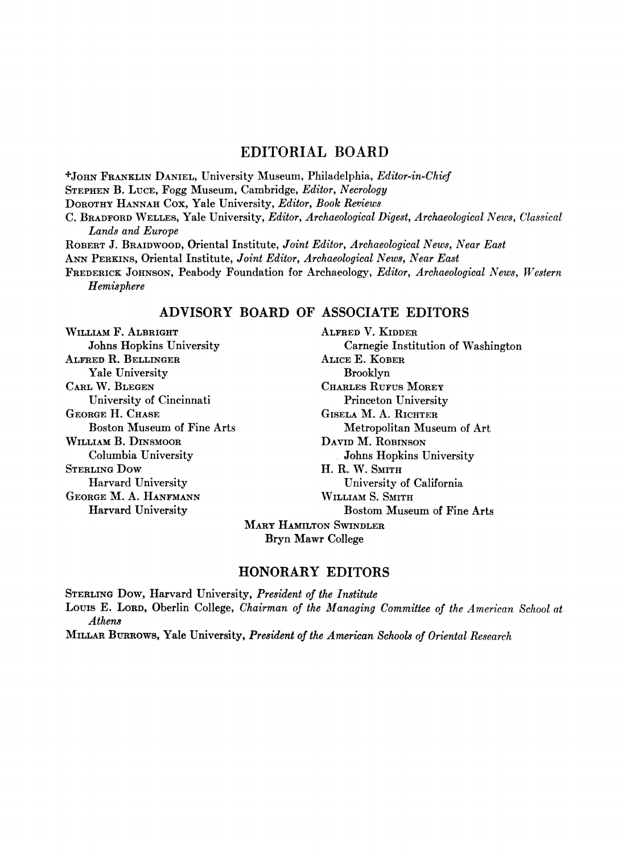#### **EDITORIAL BOARD**

**\*JOHN FRANKLIN DANIEL, University Museum, Philadelphia, Editor-in-Chief STEPHEN B. LUCE, Fogg Museum, Cambridge, Editor, Necrology DOROTHY HANNAH COX, Yale University, Editor, Book Reviews C. BRADFORD WELLES, Yale University, Editor, Archaeological Digest, Archaeological News, Classical Lands and Europe ROBERT J. BRAIDWOOD, Oriental Institute, Joint Editor, Archaeological News, Near East ANN PERKINS, Oriental Institute, Joint Editor, Archaeological News, Near East FREDERICK JOHNSON, Peabody Foundation for Archaeology, Editor, Archaeological News, Western Hemisphere** 

#### **ADVISORY BOARD OF ASSOCIATE EDITORS**

**WILLIAM F. ALBRIGHT Johns Hopkins University ALFRED R. BELLINGER Yale University CARL W. BLEGEN University of Cincinnati GEORGE H. CHASE Boston Museum of Fine Arts WILLIAM B. DINSMOOR Columbia University STERLING Dow Harvard University GEORGE M. A. HANFMANN Harvard University** 

**ALFRED V. KIDDER Carnegie Institution of Washington ALICE E. KOBER Brooklyn CHARLES RUFUS MOREY Princeton University GISELA M. A. RICHTER Metropolitan Museum of Art DAVID M. ROBINSON Johns Hopkins University H. R. W. SMITH University of California WILLIAM S. SMITH Bostom Museum of Fine Arts** 

**MARY HAMILTON SWINDLER Bryn Mawr College** 

#### **HONORARY EDITORS**

**STERLING Dow, Harvard University, President of the Institute**  Louis E. Lorp, Oberlin College, *Chairman of the Managing Committee of the American School at* **Athens** 

**MILLAR BURROWS, Yale University, President of the American Schools of Oriental Research**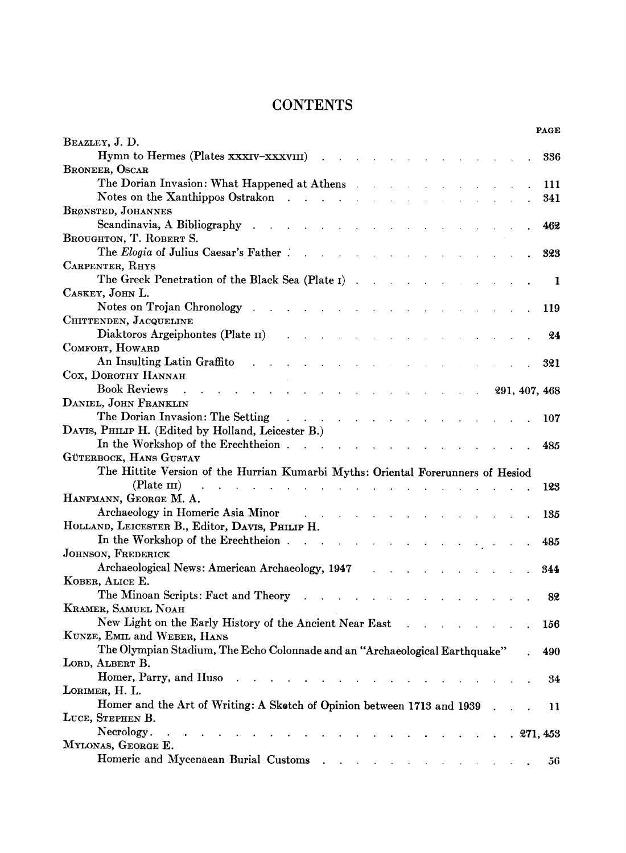# **CONTENTS**

|                                                                                                                                                                                                                                                                                                                                                 |              |  |               | <b>PAGE</b> |
|-------------------------------------------------------------------------------------------------------------------------------------------------------------------------------------------------------------------------------------------------------------------------------------------------------------------------------------------------|--------------|--|---------------|-------------|
| BEAZLEY, J. D.                                                                                                                                                                                                                                                                                                                                  |              |  |               |             |
| Hymn to Hermes (Plates xxxIV-xxxVIII)                                                                                                                                                                                                                                                                                                           |              |  |               | 336         |
| BRONEER, OSCAR                                                                                                                                                                                                                                                                                                                                  |              |  |               |             |
| The Dorian Invasion: What Happened at Athens                                                                                                                                                                                                                                                                                                    |              |  |               | 111         |
| Notes on the Xanthippos Ostrakon<br>and the contract of the contract of                                                                                                                                                                                                                                                                         |              |  |               | 341         |
| <b>BRØNSTED, JOHANNES</b>                                                                                                                                                                                                                                                                                                                       |              |  |               |             |
| Scandinavia, A Bibliography                                                                                                                                                                                                                                                                                                                     |              |  |               | 462         |
| BROUGHTON, T. ROBERT S.                                                                                                                                                                                                                                                                                                                         |              |  |               |             |
| The Elogia of Julius Caesar's Father.<br>$\mathbf{r}$                                                                                                                                                                                                                                                                                           |              |  |               | 323         |
| CARPENTER, RHYS                                                                                                                                                                                                                                                                                                                                 |              |  |               |             |
| The Greek Penetration of the Black Sea (Plate 1).                                                                                                                                                                                                                                                                                               |              |  |               | 1           |
| CASKEY, JOHN L.                                                                                                                                                                                                                                                                                                                                 |              |  |               |             |
| Notes on Trojan Chronology                                                                                                                                                                                                                                                                                                                      |              |  |               | 119         |
| CHITTENDEN, JACQUELINE                                                                                                                                                                                                                                                                                                                          |              |  |               |             |
| Diaktoros Argeiphontes (Plate II)                                                                                                                                                                                                                                                                                                               |              |  |               | 24          |
| COMFORT, HOWARD                                                                                                                                                                                                                                                                                                                                 |              |  |               |             |
| An Insulting Latin Graffito                                                                                                                                                                                                                                                                                                                     |              |  |               | 321         |
| COX, DOROTHY HANNAH                                                                                                                                                                                                                                                                                                                             |              |  |               |             |
| <b>Book Reviews</b>                                                                                                                                                                                                                                                                                                                             |              |  | 291, 407, 468 |             |
| DANIEL, JOHN FRANKLIN                                                                                                                                                                                                                                                                                                                           |              |  |               |             |
| The Dorian Invasion: The Setting                                                                                                                                                                                                                                                                                                                |              |  |               | 107         |
| DAVIS, PHILIP H. (Edited by Holland, Leicester B.)                                                                                                                                                                                                                                                                                              |              |  |               |             |
| In the Workshop of the Erechtheion.<br><b>Carl Carl</b>                                                                                                                                                                                                                                                                                         | $\mathbf{r}$ |  |               | 485         |
| GÜTERBOCK, HANS GUSTAV                                                                                                                                                                                                                                                                                                                          |              |  |               |             |
| The Hittite Version of the Hurrian Kumarbi Myths: Oriental Forerunners of Hesiod                                                                                                                                                                                                                                                                |              |  |               |             |
| $(Plate \nIII)$                                                                                                                                                                                                                                                                                                                                 |              |  |               | 123         |
| HANFMANN, GEORGE M. A.                                                                                                                                                                                                                                                                                                                          |              |  |               |             |
| Archaeology in Homeric Asia Minor<br>and the contract of the con-                                                                                                                                                                                                                                                                               |              |  |               | 135         |
| HOLLAND, LEICESTER B., Editor, DAVIS, PHILIP H.                                                                                                                                                                                                                                                                                                 |              |  |               |             |
| In the Workshop of the Erechtheion                                                                                                                                                                                                                                                                                                              |              |  |               | 485         |
| JOHNSON, FREDERICK                                                                                                                                                                                                                                                                                                                              |              |  |               |             |
| Archaeological News: American Archaeology, 1947                                                                                                                                                                                                                                                                                                 |              |  |               | 344         |
| KOBER, ALICE E.                                                                                                                                                                                                                                                                                                                                 |              |  |               |             |
| The Minoan Scripts: Fact and Theory                                                                                                                                                                                                                                                                                                             |              |  |               | 82          |
| KRAMER, SAMUEL NOAH                                                                                                                                                                                                                                                                                                                             |              |  |               |             |
| New Light on the Early History of the Ancient Near East                                                                                                                                                                                                                                                                                         |              |  |               | 156         |
| KUNZE, EMIL and WEBER, HANS                                                                                                                                                                                                                                                                                                                     |              |  |               |             |
| The Olympian Stadium, The Echo Colonnade and an "Archaeological Earthquake"                                                                                                                                                                                                                                                                     |              |  |               | 490         |
| LORD, ALBERT B.                                                                                                                                                                                                                                                                                                                                 |              |  |               |             |
| Homer, Parry, and Huso                                                                                                                                                                                                                                                                                                                          |              |  |               | 34          |
| LORIMER, H. L.                                                                                                                                                                                                                                                                                                                                  |              |  |               |             |
| Homer and the Art of Writing: A Skotch of Opinion between 1713 and 1939                                                                                                                                                                                                                                                                         |              |  |               | 11          |
| LUCE, STEPHEN B.                                                                                                                                                                                                                                                                                                                                |              |  |               |             |
| Necrology.<br>$\mathcal{L}^{\mathcal{L}}$ , and $\mathcal{L}^{\mathcal{L}}$ , and $\mathcal{L}^{\mathcal{L}}$<br>and the company of the company of the company of the company of the company of the company of the company of the company of the company of the company of the company of the company of the company of the company of the comp |              |  |               | .271,453    |
| MYLONAS, GEORGE E.                                                                                                                                                                                                                                                                                                                              |              |  |               |             |
|                                                                                                                                                                                                                                                                                                                                                 |              |  |               | 56          |
|                                                                                                                                                                                                                                                                                                                                                 |              |  |               |             |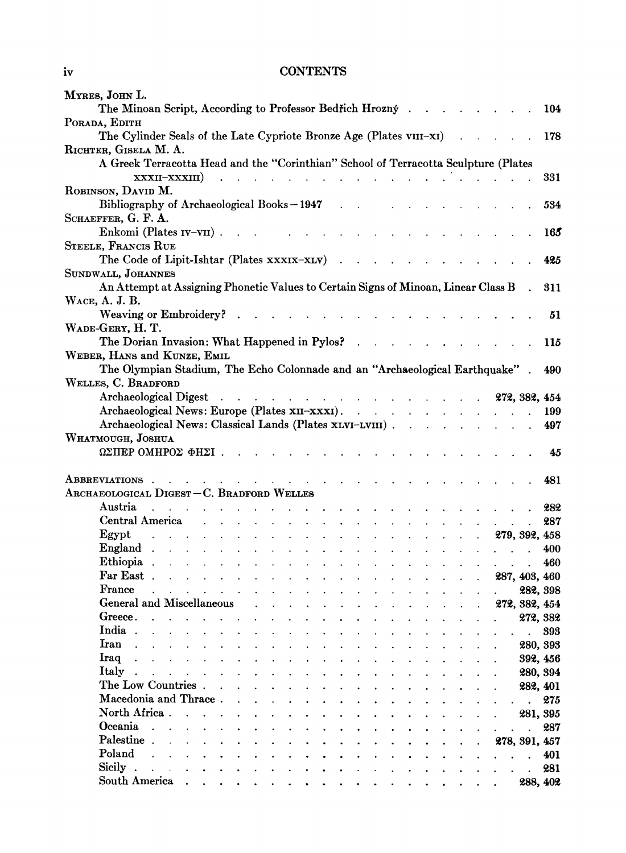## **iv CONTENTS**

| MYRES, JOHN L.                                                                                                                                                                                                                                |                             |
|-----------------------------------------------------------------------------------------------------------------------------------------------------------------------------------------------------------------------------------------------|-----------------------------|
| The Minoan Script, According to Professor Bedřich Hrozný.                                                                                                                                                                                     | 104                         |
| PORADA, EDITH<br>The Cylinder Seals of the Late Cypriote Bronze Age (Plates VIII-XI)                                                                                                                                                          | 178                         |
| RICHTER, GISELA M. A.                                                                                                                                                                                                                         |                             |
| A Greek Terracotta Head and the "Corinthian" School of Terracotta Sculpture (Plates                                                                                                                                                           |                             |
| XXXII-XXXIII)                                                                                                                                                                                                                                 | 331                         |
| ROBINSON, DAVID M.                                                                                                                                                                                                                            |                             |
| Bibliography of Archaeological Books-1947                                                                                                                                                                                                     | 534                         |
| SCHAEFFER, G. F. A.                                                                                                                                                                                                                           |                             |
| Enkomi (Plates IV-VII).                                                                                                                                                                                                                       | 165                         |
| STEELE, FRANCIS RUE                                                                                                                                                                                                                           | 425                         |
| The Code of Lipit-Ishtar (Plates xxxIX-XLV)<br>SUNDWALL, JOHANNES                                                                                                                                                                             |                             |
| An Attempt at Assigning Phonetic Values to Certain Signs of Minoan, Linear Class B                                                                                                                                                            | 311                         |
| WACE, A. J. B.                                                                                                                                                                                                                                |                             |
| Weaving or Embroidery?<br>$\mathbf{L} = \mathbf{L} \times \mathbf{L} = \mathbf{L} \times \mathbf{L} = \mathbf{L} \times \mathbf{L}$                                                                                                           | 51                          |
| WADE-GERY, H. T.                                                                                                                                                                                                                              |                             |
| The Dorian Invasion: What Happened in Pylos?<br>$\mathbf{L} = \mathbf{L} \times \mathbf{L} = \mathbf{L} \times \mathbf{L}$                                                                                                                    | 115                         |
| WEBER, HANS and KUNZE, EMIL                                                                                                                                                                                                                   |                             |
| The Olympian Stadium, The Echo Colonnade and an "Archaeological Earthquake"                                                                                                                                                                   | 490                         |
| WELLES, C. BRADFORD                                                                                                                                                                                                                           |                             |
| Archaeological Digest 272, 382, 454                                                                                                                                                                                                           |                             |
| Archaeological News: Europe (Plates XII–XXXI).                                                                                                                                                                                                | 199                         |
| Archaeological News: Classical Lands (Plates xLVI-LVIII)                                                                                                                                                                                      | 497                         |
| WHATMOUGH, JOSHUA                                                                                                                                                                                                                             |                             |
| ΩΣΠΕΡΟΜΗΡΟΣ ΦΗΣΙ.                                                                                                                                                                                                                             | 45                          |
| ABBREVIATIONS.<br>the contract of the contract of the contract of the contract of the contract of the contract of the contract of                                                                                                             | 481                         |
| ARCHAEOLOGICAL DIGEST-C. BRADFORD WELLES                                                                                                                                                                                                      |                             |
| Austria<br>and the contract of the contract of the contract of the contract of the contract of the contract of the contract of the contract of the contract of the contract of the contract of the contract of the contract of the contra     | 282                         |
| Central America entrance and the contract of the contract of the contract of the contract of the contract of the contract of the contract of the contract of the contract of the contract of the contract of the contract of t                | 287<br>$\mathbf{L}$         |
| Egypt<br><u>279, 392, 458 (and the set of the set of the set of the set of the set of the set of the set of the set of the set of the set of the set of the set of the set of the set of the set of the set of the set of the set of the </u> |                             |
|                                                                                                                                                                                                                                               | 400<br>$\ddot{\phantom{0}}$ |
|                                                                                                                                                                                                                                               | 460<br>$\mathbf{r}$         |
|                                                                                                                                                                                                                                               |                             |
| France<br>the contract of the contract of the contract of the contract of the contract of the contract of the contract of                                                                                                                     | 282, 398                    |
| General and Miscellaneous<br><b>Contract Contract Contract</b>                                                                                                                                                                                | 272, 382, 454               |
| Greece.<br>$\mathbf{L} = \mathbf{L} \mathbf{L}$<br>$\mathbf{L} = \mathbf{L}$<br>$\cdot$ $\cdot$ $\cdot$ $\cdot$ $\cdot$ $\cdot$                                                                                                               | 272, 382                    |
| India.<br>$\mathbf{r} = \mathbf{r} + \mathbf{r} + \mathbf{r} + \mathbf{r} + \mathbf{r}$<br>$\mathbf{L} = \mathbf{L} \mathbf{L}$<br>$\sim$<br>$\mathbf{L}$<br>$\mathbf{L}^{\text{max}}$                                                        | 393                         |
| Iran<br>$\mathbf{r}$ , $\mathbf{r}$ , $\mathbf{r}$ , $\mathbf{r}$ , $\mathbf{r}$ , $\mathbf{r}$ , $\mathbf{r}$<br>$\mathbf{L}^{\text{max}}$                                                                                                   | 280, 393                    |
| Iraq<br>$\mathbf{r}$ , $\mathbf{r}$ , $\mathbf{r}$ , $\mathbf{r}$ , $\mathbf{r}$<br>$\mathbf{L}^{\text{max}}$<br>$\mathbf{L}$                                                                                                                 | 392, 456                    |
| Italy.<br><b>The Committee Committee Committee Committee</b>                                                                                                                                                                                  | 280, 394                    |
| The Low Countries.                                                                                                                                                                                                                            | 282, 401                    |
| Macedonia and Thrace.                                                                                                                                                                                                                         | 275                         |
| North Africa.                                                                                                                                                                                                                                 | 281, 395                    |
| Oceania                                                                                                                                                                                                                                       | 287<br>$\ddot{\phantom{a}}$ |
| Palestine.                                                                                                                                                                                                                                    | 278, 391, 457               |
| Poland                                                                                                                                                                                                                                        | 401<br>$\ddot{\phantom{0}}$ |
| Sicily.<br>$\ddot{\phantom{0}}$                                                                                                                                                                                                               | 281<br>$\ddot{\phantom{a}}$ |
| South America<br>$\bullet$<br>$\bullet$ .<br>$\mathbf{r} = \mathbf{r}$<br>$\bullet$<br>$\bullet$                                                                                                                                              | 288, 402<br>$\sim$ $\sim$   |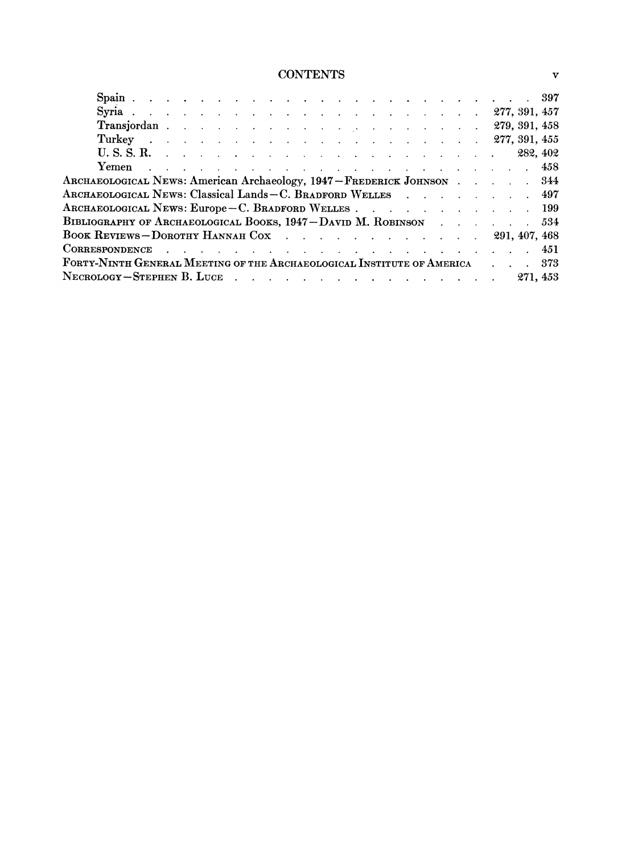# **CONTENTS v**

|                                                                                                  |  |  |  |  |  |  |  |  |  |  |  | 282, 402 |
|--------------------------------------------------------------------------------------------------|--|--|--|--|--|--|--|--|--|--|--|----------|
| Yemen<br>. The contract of the contract of the contract of the contract of the contract of $458$ |  |  |  |  |  |  |  |  |  |  |  |          |
| ARCHAEOLOGICAL NEWS: American Archaeology, 1947 – FREDERICK JOHNSON 344                          |  |  |  |  |  |  |  |  |  |  |  |          |
| ARCHAEOLOGICAL NEWS: Classical Lands - C. BRADFORD WELLES 497                                    |  |  |  |  |  |  |  |  |  |  |  |          |
| ARCHAEOLOGICAL NEWS: Europe - C. BRADFORD WELLES 199                                             |  |  |  |  |  |  |  |  |  |  |  |          |
| BIBLIOGRAPHY OF ARCHAEOLOGICAL BOOKS, 1947 – DAVID M. ROBINSON 534                               |  |  |  |  |  |  |  |  |  |  |  |          |
| BOOK REVIEWS-DOROTHY HANNAH COX 291, 407, 468                                                    |  |  |  |  |  |  |  |  |  |  |  |          |
|                                                                                                  |  |  |  |  |  |  |  |  |  |  |  |          |
| FORTY-NINTH GENERAL MEETING OF THE ARCHAEOLOGICAL INSTITUTE OF AMERICA                           |  |  |  |  |  |  |  |  |  |  |  | -373     |
| $N$ ECROLOGY – STEPHEN B. LUCE $\cdots$ $\cdots$ $\cdots$ $\cdots$ $\cdots$ $\cdots$             |  |  |  |  |  |  |  |  |  |  |  | 271, 453 |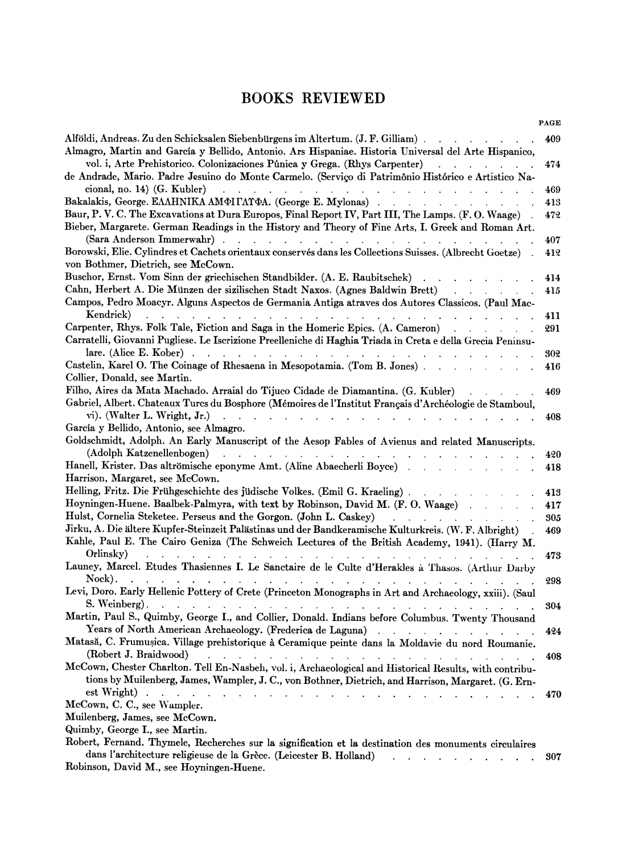# **BOOKS REVIEWED**

|                                                                                                                                                                                                                                                                                             | PAGE |
|---------------------------------------------------------------------------------------------------------------------------------------------------------------------------------------------------------------------------------------------------------------------------------------------|------|
| Alföldi, Andreas. Zu den Schicksalen Siebenbürgens im Altertum. (J. F. Gilliam).                                                                                                                                                                                                            | 409  |
| Almagro, Martin and García y Bellido, Antonio. Ars Hispaniae. Historia Universal del Arte Hispanico,                                                                                                                                                                                        |      |
| vol. i, Arte Prehistorico. Colonizaciones Púnica y Grega. (Rhys Carpenter)                                                                                                                                                                                                                  | 474  |
| de Andrade, Mario. Padre Jesuino do Monte Carmelo. (Serviço di Patrimônio Histórico e Artistico Na-                                                                                                                                                                                         |      |
| cional, no. 14) $(G. Kubler)$<br>and the contract of the contract of the<br>$\mathbf{r}$                                                                                                                                                                                                    | 469  |
| Bakalakis, George. EAAHNIKA AMOI LATOA. (George E. Mylonas)                                                                                                                                                                                                                                 | 413  |
| Baur, P. V. C. The Excavations at Dura Europos, Final Report IV, Part III, The Lamps. (F. O. Waage)                                                                                                                                                                                         | 472  |
| Bieber, Margarete. German Readings in the History and Theory of Fine Arts, I. Greek and Roman Art.                                                                                                                                                                                          |      |
| (Sara Anderson Immerwahr)                                                                                                                                                                                                                                                                   | 407  |
| Borowski, Elie. Cylindres et Cachets orientaux conservés dans les Collections Suisses. (Albrecht Goetze)                                                                                                                                                                                    | 412  |
| von Bothmer, Dietrich, see McCown.                                                                                                                                                                                                                                                          |      |
| Buschor, Ernst. Vom Sinn der griechischen Standbilder. (A. E. Raubitschek)                                                                                                                                                                                                                  | 414  |
| Cahn, Herbert A. Die Münzen der sizilischen Stadt Naxos. (Agnes Baldwin Brett)<br><b>Contract</b>                                                                                                                                                                                           | 415  |
| Campos, Pedro Moacyr. Alguns Aspectos de Germania Antiga atraves dos Autores Classicos. (Paul Mac-                                                                                                                                                                                          |      |
| Kendrick)<br>and a strategic control of                                                                                                                                                                                                                                                     | 411  |
| Carpenter, Rhys. Folk Tale, Fiction and Saga in the Homeric Epics. (A. Cameron)                                                                                                                                                                                                             | 291  |
| Carratelli, Giovanni Pugliese. Le Iscrizione Preelleniche di Haghia Triada in Creta e della Grecia Peninsu-                                                                                                                                                                                 |      |
| lare. (Alice E. Kober)<br>$\mathbf{r} = \mathbf{r} \times \mathbf{r}$ , where $\mathbf{r} = \mathbf{r} \times \mathbf{r}$ , where $\mathbf{r} = \mathbf{r} \times \mathbf{r}$<br>$\mathbf{r} = \mathbf{r} + \mathbf{r} + \mathbf{r} + \mathbf{r}$<br>$\mathbf{r}$ . The set of $\mathbf{r}$ | 302  |
| Castelin, Karel O. The Coinage of Rhesaena in Mesopotamia. (Tom B. Jones).                                                                                                                                                                                                                  | 416  |
| Collier, Donald, see Martin.                                                                                                                                                                                                                                                                |      |
| Filho, Aires da Mata Machado. Arraial do Tijuco Cidade de Diamantina. (G. Kubler)                                                                                                                                                                                                           | 469  |
| Gabriel, Albert. Chateaux Turcs du Bosphore (Mémoires de l'Institut Français d'Archéologie de Stamboul,                                                                                                                                                                                     |      |
| vi). (Walter L. Wright, Jr.)                                                                                                                                                                                                                                                                | 408  |
| García y Bellido, Antonio, see Almagro.                                                                                                                                                                                                                                                     |      |
| Goldschmidt, Adolph. An Early Manuscript of the Aesop Fables of Avienus and related Manuscripts.                                                                                                                                                                                            |      |
| (Adolph Katzenellenbogen)<br><b>Contract Contract</b>                                                                                                                                                                                                                                       | 420  |
| Hanell, Krister. Das altrömische eponyme Amt. (Aline Abaecherli Boyce)                                                                                                                                                                                                                      | 418  |
| Harrison, Margaret, see McCown.                                                                                                                                                                                                                                                             |      |
| Helling, Fritz. Die Frühgeschichte des jüdische Volkes. (Emil G. Kraeling).                                                                                                                                                                                                                 | 413  |
| Hoyningen-Huene. Baalbek-Palmyra, with text by Robinson, David M. (F. O. Waage)                                                                                                                                                                                                             | 417  |
| Hulst, Cornelia Steketee. Perseus and the Gorgon. (John L. Caskey)                                                                                                                                                                                                                          | 305  |
| Jirku, A. Die ältere Kupfer-Steinzeit Palästinas und der Bandkeramische Kulturkreis. (W. F. Albright)<br>Kahle, Paul E. The Cairo Geniza (The Schweich Lectures of the British Academy, 1941). (Harry M.                                                                                    | 469  |
| Orlinsky)                                                                                                                                                                                                                                                                                   | 473  |
| Launey, Marcel. Etudes Thasiennes I. Le Sanctaire de le Culte d'Herakles à Thasos. (Arthur Darby<br>Nock).                                                                                                                                                                                  | 298  |
| Levi, Doro. Early Hellenic Pottery of Crete (Princeton Monographs in Art and Archaeology, xxiii). (Saul<br>S. Weinberg).                                                                                                                                                                    | 304  |
| Martin, Paul S., Quimby, George I., and Collier, Donald. Indians before Columbus. Twenty Thousand<br>Years of North American Archaeology. (Frederica de Laguna)                                                                                                                             | 424  |
| Matasă, C. Frumușica. Village prehistorique à Ceramique peinte dans la Moldavie du nord Roumanie.<br>(Robert J. Braidwood)                                                                                                                                                                  | 408  |
| McCown, Chester Charlton. Tell En-Nasbeh, vol. i, Archaeological and Historical Results, with contribu-                                                                                                                                                                                     |      |
| tions by Muilenberg, James, Wampler, J. C., von Bothner, Dietrich, and Harrison, Margaret. (G. Ern-<br>est Wright).<br>$1 - 1 - 1$                                                                                                                                                          |      |
| McCown, C. C., see Wampler.                                                                                                                                                                                                                                                                 | 470  |
| Muilenberg, James, see McCown.                                                                                                                                                                                                                                                              |      |
| Quimby, George I., see Martin.                                                                                                                                                                                                                                                              |      |
| Robert, Fernand. Thymele, Recherches sur la signification et la destination des monuments circulaires                                                                                                                                                                                       |      |
| dans l'architecture religieuse de la Grèce. (Leicester B. Holland)                                                                                                                                                                                                                          | 307  |

**Robinson, David M., see Hoyningen-Huene.**